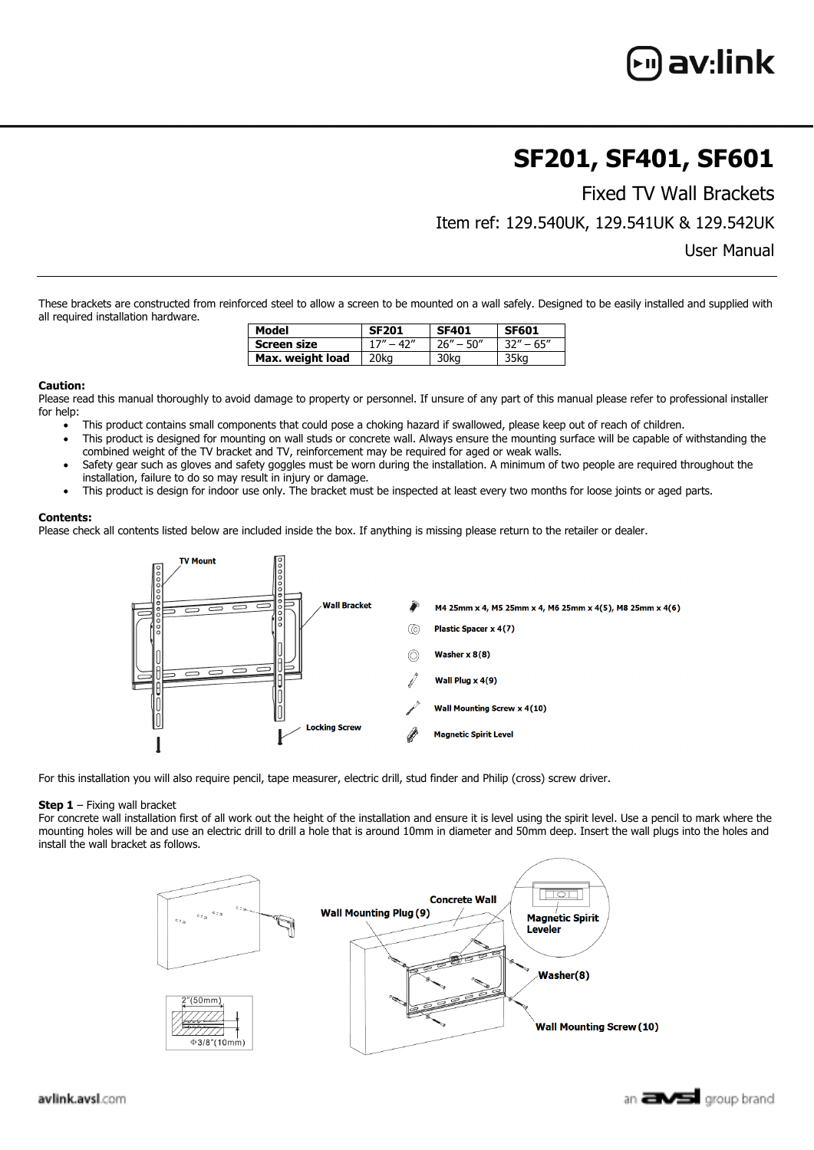# av:link

## **SF201, SF401, SF601**

Fixed TV Wall Brackets

Item ref: 129.540UK, 129.541UK & 129.542UK

User Manual

These brackets are constructed from reinforced steel to allow a screen to be mounted on a wall safely. Designed to be easily installed and supplied with all required installation hardware.

| Model            | <b>SF201</b> | <b>SF401</b>  | <b>SF601</b>  |
|------------------|--------------|---------------|---------------|
| Screen size      | $17" - 47"$  | $26'' - 50''$ | $32'' - 65''$ |
| Max. weight load | 20ka         | 30ka          | 35ka          |

#### **Caution:**

Please read this manual thoroughly to avoid damage to property or personnel. If unsure of any part of this manual please refer to professional installer for help:

- This product contains small components that could pose a choking hazard if swallowed, please keep out of reach of children.
- This product is designed for mounting on wall studs or concrete wall. Always ensure the mounting surface will be capable of withstanding the combined weight of the TV bracket and TV, reinforcement may be required for aged or weak walls.
- Safety gear such as gloves and safety goggles must be worn during the installation. A minimum of two people are required throughout the installation, failure to do so may result in injury or damage.
- This product is design for indoor use only. The bracket must be inspected at least every two months for loose joints or aged parts.

### **Contents:**

Please check all contents listed below are included inside the box. If anything is missing please return to the retailer or dealer.



For this installation you will also require pencil, tape measurer, electric drill, stud finder and Philip (cross) screw driver.

#### **Step 1** – Fixing wall bracket

For concrete wall installation first of all work out the height of the installation and ensure it is level using the spirit level. Use a pencil to mark where the mounting holes will be and use an electric drill to drill a hole that is around 10mm in diameter and 50mm deep. Insert the wall plugs into the holes and install the wall bracket as follows.